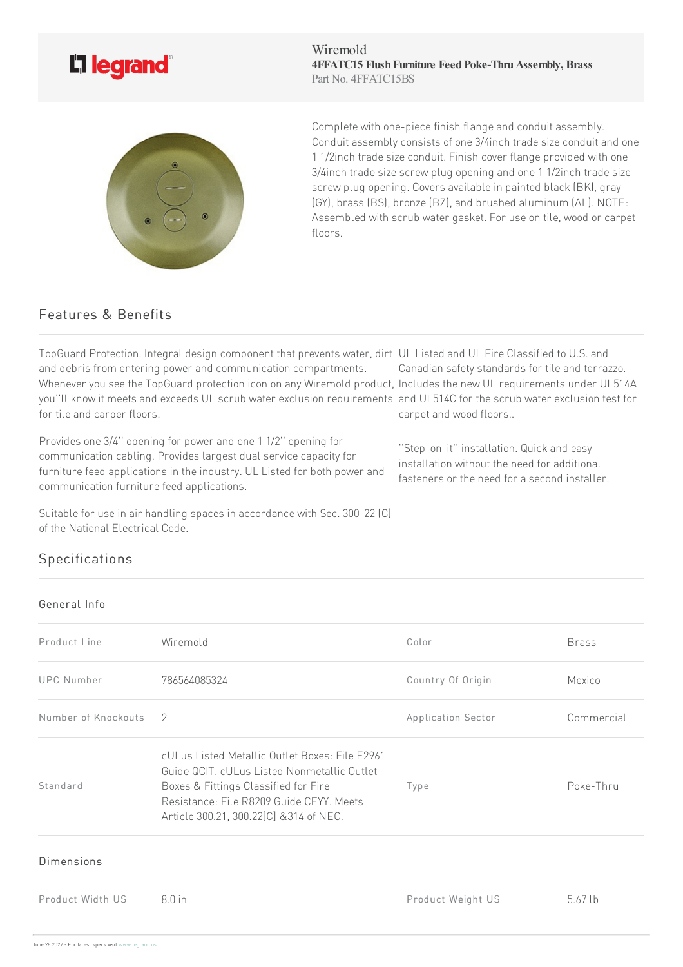

Wiremold **4FFATC15 FlushFurniture FeedPoke-ThruAssembly, Brass** Part No. 4FFATC15BS



Complete with one-piece finish flange and conduit assembly. Conduit assembly consists of one 3/4inch trade size conduit and one 11/2inch trade size conduit. Finish cover flange provided with one 3/4inch trade size screw plug opening and one 1 1/2inch trade size screw plug opening. Covers available in painted black (BK), gray (GY), brass (BS), bronze (BZ), and brushed aluminum (AL). NOTE: Assembled with scrub water gasket. For use on tile, wood or carpet floors.

> ''Step-on-it'' installation. Quickand easy installation without the need for additional fasteners or the need for a second installer.

## Features & Benefits

TopGuard Protection. Integral design component that prevents water, dirt UL Listed and UL Fire Classified to U.S. and and debris from entering power and communication compartments. Whenever you see the TopGuard protection icon on any Wiremold product, Includes the new UL requirements under UL514A you''ll know it meets and exceeds UL scrub water exclusion requirements and UL514C for the scrub water exclusion test for for tile and carper floors. Canadian safety standards for tile and terrazzo. carpet and wood floors..

Provides one 3/4" opening for power and one 1 1/2" opening for communication cabling. Provides largest dual service capacity for furniture feed applications in the industry. UL Listed for both power and communication furniture feed applications.

Suitable for use in air handling spaces in accordance with Sec. 300-22 (C) of the National Electrical Code.

## Specifications

## General Info

Product Line **Color** Wiremold **Color** Color Brass UPC Number 786564085324 786564085324 Country Of Origin Mexico Number of Knockouts 2 2 and 2008 2010 12 Application Sector Commercial Standard cULus Listed Metallic Outlet Boxes: File E2961 Guide QCIT. cULus Listed Nonmetallic Outlet Boxes & Fittings Classified for Fire Resistance:File R8209 Guide CEYY. Meets Article300.21,300.22[C] &314of NEC. Type Poke-Thru Dimensions Product Width US 8.0in Product Weight US 5.67lb